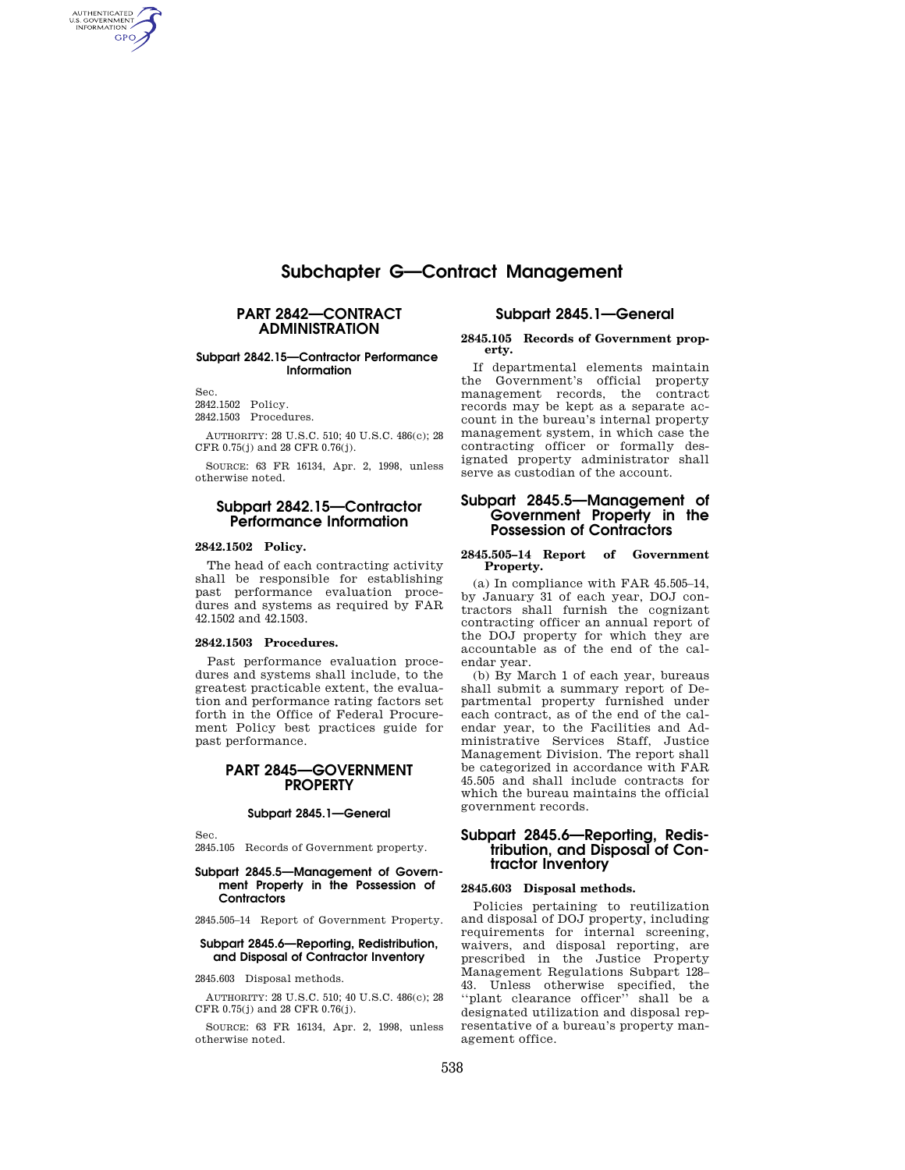# **Subchapter G—Contract Management**

## **PART 2842—CONTRACT ADMINISTRATION**

### **Subpart 2842.15—Contractor Performance Information**

Sec.

AUTHENTICATED<br>U.S. GOVERNMENT<br>INFORMATION GPO

> 2842.1502 Policy. 2842.1503 Procedures.

AUTHORITY: 28 U.S.C. 510; 40 U.S.C. 486(c); 28 CFR 0.75(j) and 28 CFR 0.76(j).

SOURCE: 63 FR 16134, Apr. 2, 1998, unless otherwise noted.

## **Subpart 2842.15—Contractor Performance Information**

#### **2842.1502 Policy.**

The head of each contracting activity shall be responsible for establishing past performance evaluation procedures and systems as required by FAR 42.1502 and 42.1503.

#### **2842.1503 Procedures.**

Past performance evaluation procedures and systems shall include, to the greatest practicable extent, the evaluation and performance rating factors set forth in the Office of Federal Procurement Policy best practices guide for past performance.

# **PART 2845—GOVERNMENT PROPERTY**

#### **Subpart 2845.1—General**

Sec.

2845.105 Records of Government property.

#### **Subpart 2845.5—Management of Government Property in the Possession of Contractors**

2845.505–14 Report of Government Property.

#### **Subpart 2845.6—Reporting, Redistribution, and Disposal of Contractor Inventory**

2845.603 Disposal methods.

AUTHORITY: 28 U.S.C. 510; 40 U.S.C. 486(c); 28 CFR 0.75(j) and 28 CFR 0.76(j).

SOURCE: 63 FR 16134, Apr. 2, 1998, unless otherwise noted.

#### **Subpart 2845.1—General**

#### **2845.105 Records of Government property.**

If departmental elements maintain the Government's official property management records, the contract records may be kept as a separate account in the bureau's internal property management system, in which case the contracting officer or formally designated property administrator shall serve as custodian of the account.

### **Subpart 2845.5—Management of Government Property in the Possession of Contractors**

#### **2845.505–14 Report of Government Property.**

(a) In compliance with FAR 45.505–14, by January 31 of each year, DOJ contractors shall furnish the cognizant contracting officer an annual report of the DOJ property for which they are accountable as of the end of the calendar year.

(b) By March 1 of each year, bureaus shall submit a summary report of Departmental property furnished under each contract, as of the end of the calendar year, to the Facilities and Administrative Services Staff, Justice Management Division. The report shall be categorized in accordance with FAR 45.505 and shall include contracts for which the bureau maintains the official government records.

# **Subpart 2845.6—Reporting, Redistribution, and Disposal of Contractor Inventory**

#### **2845.603 Disposal methods.**

Policies pertaining to reutilization and disposal of DOJ property, including requirements for internal screening, waivers, and disposal reporting, are prescribed in the Justice Property Management Regulations Subpart 128– 43. Unless otherwise specified, the "plant clearance officer" shall be a designated utilization and disposal representative of a bureau's property management office.